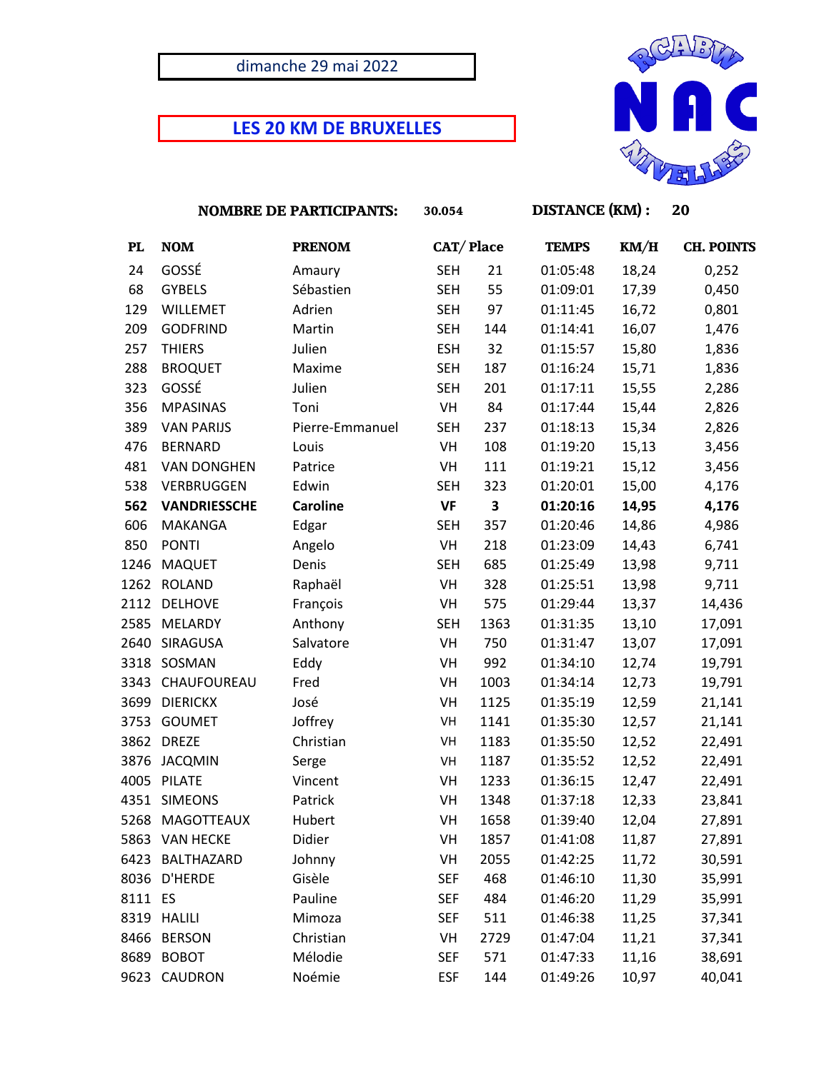## dimanche 29 mai 2022

## **LES 20 KM DE BRUXELLES**



|           | <b>NOMBRE DE PARTICIPANTS:</b> |                 | 30.054     |      | <b>DISTANCE (KM):</b> |       | 20                |  |
|-----------|--------------------------------|-----------------|------------|------|-----------------------|-------|-------------------|--|
| <b>PL</b> | <b>NOM</b>                     | <b>PRENOM</b>   | CAT/Place  |      | <b>TEMPS</b>          | KM/H  | <b>CH. POINTS</b> |  |
| 24        | GOSSÉ                          | Amaury          | <b>SEH</b> | 21   | 01:05:48              | 18,24 | 0,252             |  |
| 68        | <b>GYBELS</b>                  | Sébastien       | <b>SEH</b> | 55   | 01:09:01              | 17,39 | 0,450             |  |
| 129       | WILLEMET                       | Adrien          | <b>SEH</b> | 97   | 01:11:45              | 16,72 | 0,801             |  |
| 209       | <b>GODFRIND</b>                | Martin          | <b>SEH</b> | 144  | 01:14:41              | 16,07 | 1,476             |  |
| 257       | <b>THIERS</b>                  | Julien          | <b>ESH</b> | 32   | 01:15:57              | 15,80 | 1,836             |  |
| 288       | <b>BROQUET</b>                 | Maxime          | <b>SEH</b> | 187  | 01:16:24              | 15,71 | 1,836             |  |
| 323       | GOSSÉ                          | Julien          | <b>SEH</b> | 201  | 01:17:11              | 15,55 | 2,286             |  |
| 356       | <b>MPASINAS</b>                | Toni            | VH         | 84   | 01:17:44              | 15,44 | 2,826             |  |
| 389       | <b>VAN PARIJS</b>              | Pierre-Emmanuel | <b>SEH</b> | 237  | 01:18:13              | 15,34 | 2,826             |  |
| 476       | <b>BERNARD</b>                 | Louis           | VH         | 108  | 01:19:20              | 15,13 | 3,456             |  |
| 481       | <b>VAN DONGHEN</b>             | Patrice         | VH         | 111  | 01:19:21              | 15,12 | 3,456             |  |
| 538       | VERBRUGGEN                     | Edwin           | <b>SEH</b> | 323  | 01:20:01              | 15,00 | 4,176             |  |
| 562       | <b>VANDRIESSCHE</b>            | <b>Caroline</b> | <b>VF</b>  | 3    | 01:20:16              | 14,95 | 4,176             |  |
| 606       | MAKANGA                        | Edgar           | <b>SEH</b> | 357  | 01:20:46              | 14,86 | 4,986             |  |
| 850       | <b>PONTI</b>                   | Angelo          | VH         | 218  | 01:23:09              | 14,43 | 6,741             |  |
| 1246      | <b>MAQUET</b>                  | Denis           | <b>SEH</b> | 685  | 01:25:49              | 13,98 | 9,711             |  |
| 1262      | ROLAND                         | Raphaël         | VH         | 328  | 01:25:51              | 13,98 | 9,711             |  |
| 2112      | <b>DELHOVE</b>                 | François        | VH         | 575  | 01:29:44              | 13,37 | 14,436            |  |
| 2585      | MELARDY                        | Anthony         | <b>SEH</b> | 1363 | 01:31:35              | 13,10 | 17,091            |  |
| 2640      | SIRAGUSA                       | Salvatore       | VH         | 750  | 01:31:47              | 13,07 | 17,091            |  |
| 3318      | SOSMAN                         | Eddy            | VH         | 992  | 01:34:10              | 12,74 | 19,791            |  |
| 3343      | CHAUFOUREAU                    | Fred            | VH         | 1003 | 01:34:14              | 12,73 | 19,791            |  |
| 3699      | <b>DIERICKX</b>                | José            | VH         | 1125 | 01:35:19              | 12,59 | 21,141            |  |
| 3753      | <b>GOUMET</b>                  | Joffrey         | VH         | 1141 | 01:35:30              | 12,57 | 21,141            |  |
| 3862      | <b>DREZE</b>                   | Christian       | VH         | 1183 | 01:35:50              | 12,52 | 22,491            |  |
| 3876      | <b>JACQMIN</b>                 | Serge           | VH         | 1187 | 01:35:52              | 12,52 | 22,491            |  |
| 4005      | PILATE                         | Vincent         | VH         | 1233 | 01:36:15              | 12,47 | 22,491            |  |
|           | 4351 SIMEONS                   | Patrick         | VH         | 1348 | 01:37:18              | 12,33 | 23,841            |  |
|           | 5268 MAGOTTEAUX                | Hubert          | VH         | 1658 | 01:39:40              | 12,04 | 27,891            |  |
|           | 5863 VAN HECKE                 | Didier          | VH         | 1857 | 01:41:08              | 11,87 | 27,891            |  |
|           | 6423 BALTHAZARD                | Johnny          | VH         | 2055 | 01:42:25              | 11,72 | 30,591            |  |
|           | 8036 D'HERDE                   | Gisèle          | <b>SEF</b> | 468  | 01:46:10              | 11,30 | 35,991            |  |
| 8111 ES   |                                | Pauline         | <b>SEF</b> | 484  | 01:46:20              | 11,29 | 35,991            |  |
|           | 8319 HALILI                    | Mimoza          | <b>SEF</b> | 511  | 01:46:38              | 11,25 | 37,341            |  |
| 8466      | <b>BERSON</b>                  | Christian       | VH         | 2729 | 01:47:04              | 11,21 | 37,341            |  |
| 8689      | <b>BOBOT</b>                   | Mélodie         | <b>SEF</b> | 571  | 01:47:33              | 11,16 | 38,691            |  |
| 9623      | CAUDRON                        | Noémie          | <b>ESF</b> | 144  | 01:49:26              | 10,97 | 40,041            |  |